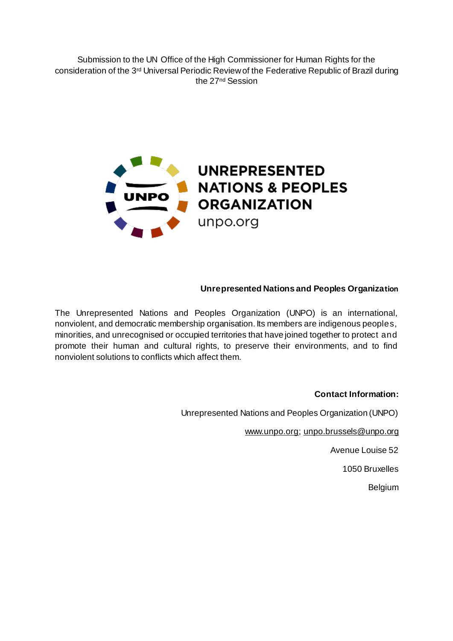Submission to the UN Office of the High Commissioner for Human Rights for the consideration of the 3<sup>rd</sup> Universal Periodic Review of the Federative Republic of Brazil during the 27<sup>nd</sup> Session



### **Unrepresented Nations and Peoples Organization**

The Unrepresented Nations and Peoples Organization (UNPO) is an international, nonviolent, and democratic membership organisation. Its members are indigenous peoples, minorities, and unrecognised or occupied territories that have joined together to protect and promote their human and cultural rights, to preserve their environments, and to find nonviolent solutions to conflicts which affect them.

#### **Contact Information:**

Unrepresented Nations and Peoples Organization (UNPO)

www.unpo.org; unpo.brussels@unpo.org

Avenue Louise 52

1050 Bruxelles

Belgium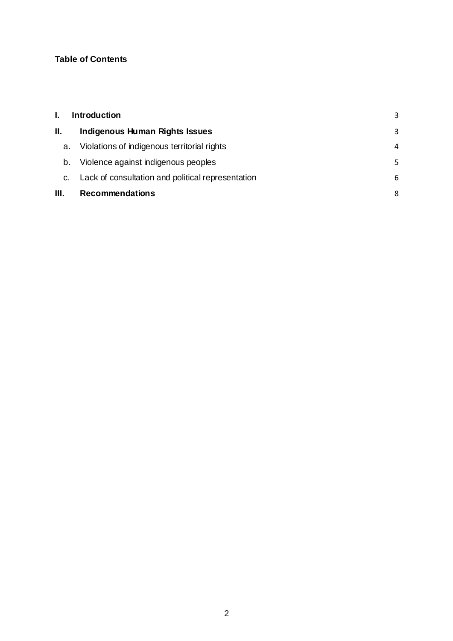# **Table of Contents**

|      | <b>Introduction</b>                               | 3 |
|------|---------------------------------------------------|---|
| Ш.   | <b>Indigenous Human Rights Issues</b>             | 3 |
| a.   | Violations of indigenous territorial rights       | 4 |
| b.   | Violence against indigenous peoples               | 5 |
| C.   | Lack of consultation and political representation | 6 |
| III. | <b>Recommendations</b>                            | 8 |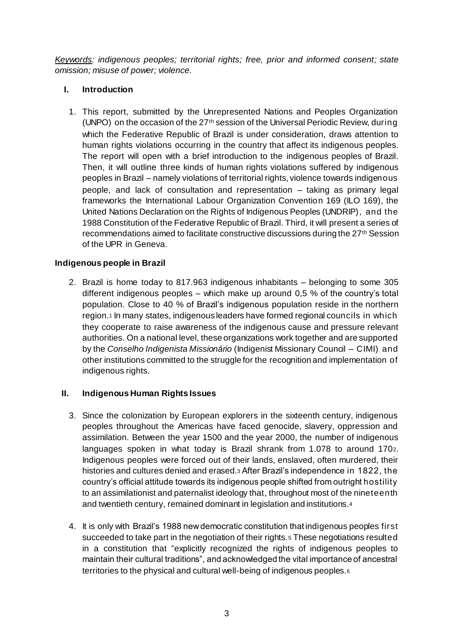*Keywords: indigenous peoples; territorial rights; free, prior and informed consent; state omission; misuse of power; violence.*

# **I. Introduction**

1. This report, submitted by the Unrepresented Nations and Peoples Organization (UNPO) on the occasion of the  $27<sup>th</sup>$  session of the Universal Periodic Review, during which the Federative Republic of Brazil is under consideration, draws attention to human rights violations occurring in the country that affect its indigenous peoples. The report will open with a brief introduction to the indigenous peoples of Brazil. Then, it will outline three kinds of human rights violations suffered by indigenous peoples in Brazil – namely violations of territorial rights, violence towards indigenous people, and lack of consultation and representation – taking as primary legal frameworks the International Labour Organization Convention 169 (ILO 169), the United Nations Declaration on the Rights of Indigenous Peoples (UNDRIP), and the 1988 Constitution of the Federative Republic of Brazil. Third, it will present a series of recommendations aimed to facilitate constructive discussions during the 27th Session of the UPR in Geneva.

# **Indigenous people in Brazil**

2. Brazil is home today to 817.963 indigenous inhabitants – belonging to some 305 different indigenous peoples – which make up around 0,5 % of the country's total population. Close to 40 % of Brazil's indigenous population reside in the northern region.<sup>1</sup> In many states, indigenous leaders have formed regional councils in which they cooperate to raise awareness of the indigenous cause and pressure relevant authorities. On a national level, these organizations work together and are supported by the *Conselho Indigenista Missionário* (Indigenist Missionary Council – CIMI) and other institutions committed to the struggle for the recognition and implementation of indigenous rights.

### **II. Indigenous Human Rights Issues**

- 3. Since the colonization by European explorers in the sixteenth century, indigenous peoples throughout the Americas have faced genocide, slavery, oppression and assimilation. Between the year 1500 and the year 2000, the number of indigenous languages spoken in what today is Brazil shrank from 1.078 to around 1702. Indigenous peoples were forced out of their lands, enslaved, often murdered, their histories and cultures denied and erased.<sup>3</sup> After Brazil's independence in 1822, the country's official attitude towards its indigenous people shifted from outright hostility to an assimilationist and paternalist ideology that, throughout most of the nineteenth and twentieth century, remained dominant in legislation and institutions.<sup>4</sup>
- 4. It is only with Brazil's 1988 new democratic constitution that indigenous peoples first succeeded to take part in the negotiation of their rights.<sup>5</sup> These negotiations resulted in a constitution that "explicitly recognized the rights of indigenous peoples to maintain their cultural traditions", and acknowledged the vital importance of ancestral territories to the physical and cultural well-being of indigenous peoples.6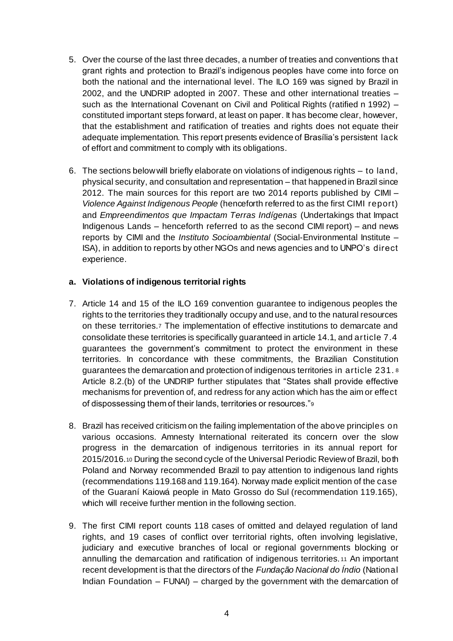- 5. Over the course of the last three decades, a number of treaties and conventions that grant rights and protection to Brazil's indigenous peoples have come into force on both the national and the international level. The ILO 169 was signed by Brazil in 2002, and the UNDRIP adopted in 2007. These and other international treaties – such as the International Covenant on Civil and Political Rights (ratified n 1992) – constituted important steps forward, at least on paper. It has become clear, however, that the establishment and ratification of treaties and rights does not equate their adequate implementation. This report presents evidence of Brasília's persistent lack of effort and commitment to comply with its obligations.
- 6. The sections below will briefly elaborate on violations of indigenous rights to land, physical security, and consultation and representation – that happened in Brazil since 2012. The main sources for this report are two 2014 reports published by CIMI – *Violence Against Indigenous People* (henceforth referred to as the first CIMI report) and *Empreendimentos que Impactam Terras Indígenas* (Undertakings that Impact Indigenous Lands – henceforth referred to as the second CIMI report) – and news reports by CIMI and the *Instituto Socioambiental* (Social-Environmental Institute – ISA), in addition to reports by other NGOs and news agencies and to UNPO's direct experience.

#### **a. Violations of indigenous territorial rights**

- 7. Article 14 and 15 of the ILO 169 convention guarantee to indigenous peoples the rights to the territories they traditionally occupy and use, and to the natural resources on these territories.<sup>7</sup> The implementation of effective institutions to demarcate and consolidate these territories is specifically guaranteed in article 14.1, and article 7.4 guarantees the government's commitment to protect the environment in these territories. In concordance with these commitments, the Brazilian Constitution guarantees the demarcation and protection of indigenous territories in article 231. <sup>8</sup> Article 8.2.(b) of the UNDRIP further stipulates that "States shall provide effective mechanisms for prevention of, and redress for any action which has the aim or effect of dispossessing them of their lands, territories or resources."<sup>9</sup>
- 8. Brazil has received criticism on the failing implementation of the above principles on various occasions. Amnesty International reiterated its concern over the slow progress in the demarcation of indigenous territories in its annual report for 2015/2016.<sup>10</sup> During the second cycle of the Universal Periodic Review of Brazil, both Poland and Norway recommended Brazil to pay attention to indigenous land rights (recommendations 119.168 and 119.164). Norway made explicit mention of the case of the Guaraní Kaiowá people in Mato Grosso do Sul (recommendation 119.165), which will receive further mention in the following section.
- 9. The first CIMI report counts 118 cases of omitted and delayed regulation of land rights, and 19 cases of conflict over territorial rights, often involving legislative, judiciary and executive branches of local or regional governments blocking or annulling the demarcation and ratification of indigenous territories. <sup>11</sup> An important recent development is that the directors of the *Fundação Nacional do Índio* (National Indian Foundation – FUNAI) – charged by the government with the demarcation of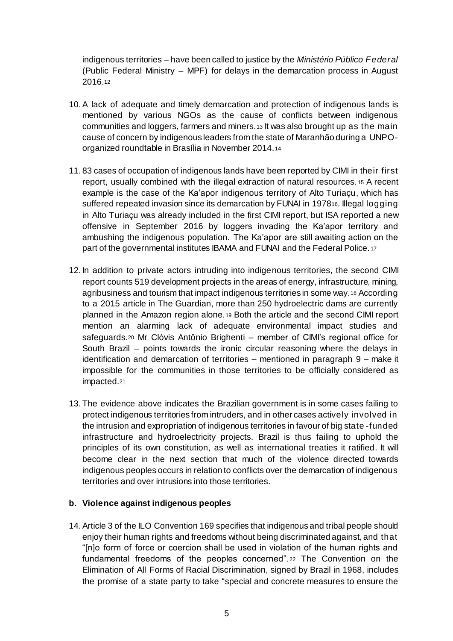indigenous territories – have been called to justice by the *Ministério Público Federal*  (Public Federal Ministry – MPF) for delays in the demarcation process in August 2016.<sup>12</sup>

- 10.A lack of adequate and timely demarcation and protection of indigenous lands is mentioned by various NGOs as the cause of conflicts between indigenous communities and loggers, farmers and miners.<sup>13</sup> It was also brought up as the main cause of concern by indigenous leaders from the state of Maranhão during a UNPOorganized roundtable in Brasília in November 2014.<sup>14</sup>
- 11. 83 cases of occupation of indigenous lands have been reported by CIMI in their first report, usually combined with the illegal extraction of natural resources. <sup>15</sup> A recent example is the case of the Ka'apor indigenous territory of Alto Turiaçu, which has suffered repeated invasion since its demarcation by FUNAI in 197816. Illegal logging in Alto Turiaçu was already included in the first CIMI report, but ISA reported a new offensive in September 2016 by loggers invading the Ka'apor territory and ambushing the indigenous population. The Ka'apor are still awaiting action on the part of the governmental institutes IBAMA and FUNAI and the Federal Police. <sup>17</sup>
- 12. In addition to private actors intruding into indigenous territories, the second CIMI report counts 519 development projects in the areas of energy, infrastructure, mining, agribusiness and tourism that impact indigenous territories in some way.<sup>18</sup> According to a 2015 article in The Guardian, more than 250 hydroelectric dams are currently planned in the Amazon region alone.<sup>19</sup> Both the article and the second CIMI report mention an alarming lack of adequate environmental impact studies and safeguards.<sup>20</sup> Mr Clóvis Antônio Brighenti – member of CIMI's regional office for South Brazil – points towards the ironic circular reasoning where the delays in identification and demarcation of territories – mentioned in paragraph 9 – make it impossible for the communities in those territories to be officially considered as impacted.<sup>21</sup>
- 13. The evidence above indicates the Brazilian government is in some cases failing to protect indigenous territories from intruders, and in other cases actively involved in the intrusion and expropriation of indigenous territories in favour of big state -funded infrastructure and hydroelectricity projects. Brazil is thus failing to uphold the principles of its own constitution, as well as international treaties it ratified. It will become clear in the next section that much of the violence directed towards indigenous peoples occurs in relation to conflicts over the demarcation of indigenous territories and over intrusions into those territories.

#### **b. Violence against indigenous peoples**

14.Article 3 of the ILO Convention 169 specifies that indigenous and tribal people should enjoy their human rights and freedoms without being discriminated against, and that "[n]o form of force or coercion shall be used in violation of the human rights and fundamental freedoms of the peoples concerned".<sup>22</sup> The Convention on the Elimination of All Forms of Racial Discrimination, signed by Brazil in 1968, includes the promise of a state party to take "special and concrete measures to ensure the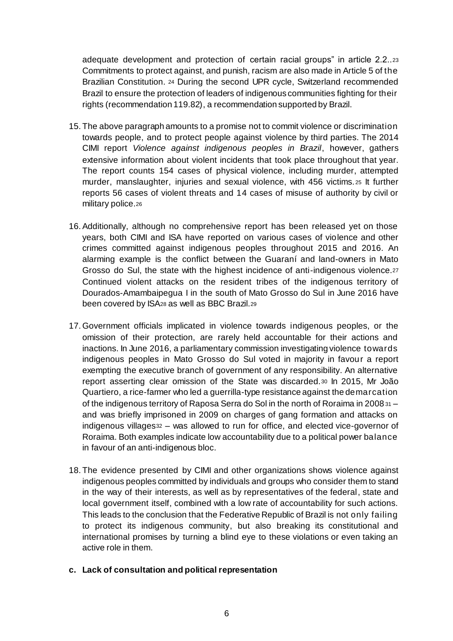adequate development and protection of certain racial groups" in article 2.2..<sup>23</sup> Commitments to protect against, and punish, racism are also made in Article 5 of the Brazilian Constitution. <sup>24</sup> During the second UPR cycle, Switzerland recommended Brazil to ensure the protection of leaders of indigenous communities fighting for their rights (recommendation 119.82), a recommendation supported by Brazil.

- 15. The above paragraph amounts to a promise not to commit violence or discrimination towards people, and to protect people against violence by third parties. The 2014 CIMI report *Violence against indigenous peoples in Brazil*, however, gathers extensive information about violent incidents that took place throughout that year. The report counts 154 cases of physical violence, including murder, attempted murder, manslaughter, injuries and sexual violence, with 456 victims. <sup>25</sup> It further reports 56 cases of violent threats and 14 cases of misuse of authority by civil or military police.26
- 16.Additionally, although no comprehensive report has been released yet on those years, both CIMI and ISA have reported on various cases of violence and other crimes committed against indigenous peoples throughout 2015 and 2016. An alarming example is the conflict between the Guaraní and land-owners in Mato Grosso do Sul, the state with the highest incidence of anti-indigenous violence.<sup>27</sup> Continued violent attacks on the resident tribes of the indigenous territory of Dourados-Amambaipegua I in the south of Mato Grosso do Sul in June 2016 have been covered by ISA<sup>28</sup> as well as BBC Brazil.<sup>29</sup>
- 17.Government officials implicated in violence towards indigenous peoples, or the omission of their protection, are rarely held accountable for their actions and inactions. In June 2016, a parliamentary commission investigating violence towards indigenous peoples in Mato Grosso do Sul voted in majority in favour a report exempting the executive branch of government of any responsibility. An alternative report asserting clear omission of the State was discarded.<sup>30</sup> In 2015, Mr João Quartiero, a rice-farmer who led a guerrilla-type resistance against the demarcation of the indigenous territory of Raposa Serra do Sol in the north of Roraima in 2008<sup>31</sup> – and was briefly imprisoned in 2009 on charges of gang formation and attacks on indigenous villages<sup>32</sup> – was allowed to run for office, and elected vice-governor of Roraima. Both examples indicate low accountability due to a political power balance in favour of an anti-indigenous bloc.
- 18. The evidence presented by CIMI and other organizations shows violence against indigenous peoples committed by individuals and groups who consider them to stand in the way of their interests, as well as by representatives of the federal, state and local government itself, combined with a low rate of accountability for such actions. This leads to the conclusion that the Federative Republic of Brazil is not only failing to protect its indigenous community, but also breaking its constitutional and international promises by turning a blind eye to these violations or even taking an active role in them.
- **c. Lack of consultation and political representation**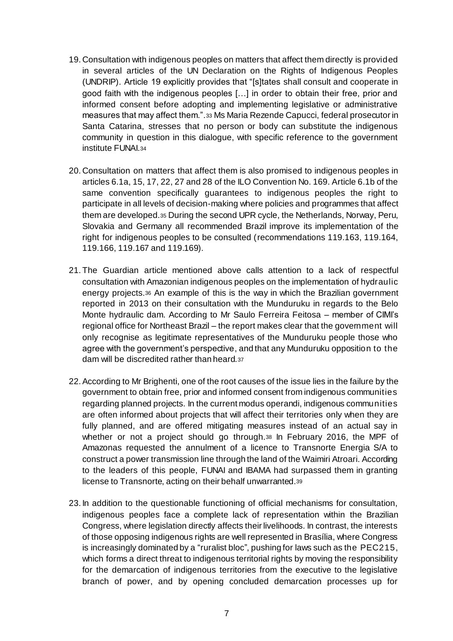- 19. Consultation with indigenous peoples on matters that affect them directly is provided in several articles of the UN Declaration on the Rights of Indigenous Peoples (UNDRIP). Article 19 explicitly provides that "[s]tates shall consult and cooperate in good faith with the indigenous peoples […] in order to obtain their free, prior and informed consent before adopting and implementing legislative or administrative measures that may affect them.".<sup>33</sup> Ms Maria Rezende Capucci, federal prosecutor in Santa Catarina, stresses that no person or body can substitute the indigenous community in question in this dialogue, with specific reference to the government institute FUNAI.<sup>34</sup>
- 20. Consultation on matters that affect them is also promised to indigenous peoples in articles 6.1a, 15, 17, 22, 27 and 28 of the ILO Convention No. 169. Article 6.1b of the same convention specifically guarantees to indigenous peoples the right to participate in all levels of decision-making where policies and programmes that affect them are developed.<sup>35</sup> During the second UPR cycle, the Netherlands, Norway, Peru, Slovakia and Germany all recommended Brazil improve its implementation of the right for indigenous peoples to be consulted (recommendations 119.163, 119.164, 119.166, 119.167 and 119.169).
- 21. The Guardian article mentioned above calls attention to a lack of respectful consultation with Amazonian indigenous peoples on the implementation of hydraulic energy projects.<sup>36</sup> An example of this is the way in which the Brazilian government reported in 2013 on their consultation with the Munduruku in regards to the Belo Monte hydraulic dam. According to Mr Saulo Ferreira Feitosa – member of CIMI's regional office for Northeast Brazil – the report makes clear that the government will only recognise as legitimate representatives of the Munduruku people those who agree with the government's perspective, and that any Munduruku opposition to the dam will be discredited rather than heard.<sup>37</sup>
- 22.According to Mr Brighenti, one of the root causes of the issue lies in the failure by the government to obtain free, prior and informed consent from indigenous communities regarding planned projects. In the current modus operandi, indigenous communities are often informed about projects that will affect their territories only when they are fully planned, and are offered mitigating measures instead of an actual say in whether or not a project should go through.<sup>38</sup> In February 2016, the MPF of Amazonas requested the annulment of a licence to Transnorte Energia S/A to construct a power transmission line through the land of the Waimiri Atroari. According to the leaders of this people, FUNAI and IBAMA had surpassed them in granting license to Transnorte, acting on their behalf unwarranted.<sup>39</sup>
- 23. In addition to the questionable functioning of official mechanisms for consultation, indigenous peoples face a complete lack of representation within the Brazilian Congress, where legislation directly affects their livelihoods. In contrast, the interests of those opposing indigenous rights are well represented in Brasília, where Congress is increasingly dominated by a "ruralist bloc", pushing for laws such as the PEC215, which forms a direct threat to indigenous territorial rights by moving the responsibility for the demarcation of indigenous territories from the executive to the legislative branch of power, and by opening concluded demarcation processes up for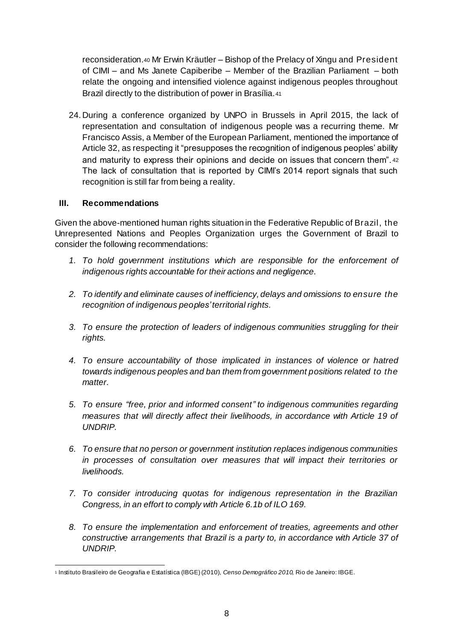reconsideration.<sup>40</sup> Mr Erwin Kräutler – Bishop of the Prelacy of Xingu and President of CIMI – and Ms Janete Capiberibe – Member of the Brazilian Parliament – both relate the ongoing and intensified violence against indigenous peoples throughout Brazil directly to the distribution of power in Brasília.<sup>41</sup>

24. During a conference organized by UNPO in Brussels in April 2015, the lack of representation and consultation of indigenous people was a recurring theme. Mr Francisco Assis, a Member of the European Parliament, mentioned the importance of Article 32, as respecting it "presupposes the recognition of indigenous peoples' ability and maturity to express their opinions and decide on issues that concern them". <sup>42</sup> The lack of consultation that is reported by CIMI's 2014 report signals that such recognition is still far from being a reality.

### **III. Recommendations**

Given the above-mentioned human rights situation in the Federative Republic of Brazil, the Unrepresented Nations and Peoples Organization urges the Government of Brazil to consider the following recommendations:

- *1. To hold government institutions which are responsible for the enforcement of indigenous rights accountable for their actions and negligence.*
- *2. To identify and eliminate causes of inefficiency, delays and omissions to ensure the recognition of indigenous peoples' territorial rights.*
- *3. To ensure the protection of leaders of indigenous communities struggling for their rights.*
- *4. To ensure accountability of those implicated in instances of violence or hatred towards indigenous peoples and ban them from government positions related to the matter.*
- *5. To ensure "free, prior and informed consent" to indigenous communities regarding measures that will directly affect their livelihoods, in accordance with Article 19 of UNDRIP.*
- *6. To ensure that no person or government institution replaces indigenous communities in processes of consultation over measures that will impact their territories or livelihoods.*
- *7. To consider introducing quotas for indigenous representation in the Brazilian Congress, in an effort to comply with Article 6.1b of ILO 169.*
- *8. To ensure the implementation and enforcement of treaties, agreements and other constructive arrangements that Brazil is a party to, in accordance with Article 37 of UNDRIP.*

 $\overline{a}$ <sup>1</sup> Instituto Brasileiro de Geografia e Estatística (IBGE) (2010), *Censo Demográfico 2010,* Rio de Janeiro: IBGE.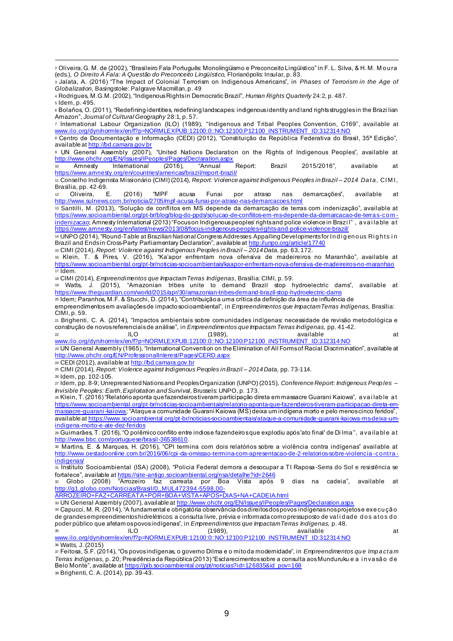$\overline{a}$ <sup>2</sup> Oliveira, G. M. de (2002), "Brasileiro Fala Português: Monolingüismo e Preconceito Lingüístico" in F. L. Silva, & H. M. M o u ra (eds.), *O Direito À Fala: A Questão do Preconceito Lingüístico,* Florianópolis: Insular, p. 83.

<sup>3</sup> Jalata, A. (2016) "The Impact of Colonial Terrorism on Indigenous Americans", in *Phases of Terrorism in the Age of Globalization,* Basingstoke: Palgrave Macmillan, p. 49

<sup>4</sup> Rodrigues, M.G.M. (2002), "Indigenous Rights in Democratic Brazil", *Human Rights Quarterly* 24:2, p. 487. <sup>5</sup> Idem, p. 495.

<sup>6</sup> Bolaños, O. (2011), "Redefining identities, redefining landscapes: indigenous identity and land rights struggles in the Brazi lian Amazon", *Journal of Cultural Geography* 28:1, p. 57.

<sup>7</sup> International Labour Organization (ILO) (1989), "Indigenous and Tribal Peoples Convention, C169", available at www.ilo.org/dyn/normlex/en/f?p=NORMLEXPUB:12100:0::NO:12100:P12100\_INSTRUMENT\_ID:312314:NO

<sup>8</sup> Centro de Documentação e Informação (CEDI) (2012), "Constituição da República Federativa do Brasil, 35ª Edição", available at http://bd.camara.gov.br

<sup>9</sup> UN General Assembly (2007), "United Nations Declaration on the Rights of Indigenous Peoples", available at http://www.ohchr.org/EN/Issues/IPeoples/Pages/Declaration.aspx

<sup>10</sup> Amnesty International (2016), "Annual Report: Brazil 2015/2016", available at https://www.amnesty.org/en/countries/americas/brazil/report-brazil/

<sup>11</sup> Conselho Indigenista Missionário (CIMI) (2014), *Report: Violence against Indigenous Peoples in Brazil – 2014 Da ta ,* CIM I, Brasília, pp. 42-69.

<sup>12</sup> Oliveira, E. (2016) "MPF acusa Funai por atraso nas demarcações", available at http://www.sulnews.com.br/noticia/2705/mpf-acusa-funai-por-atraso-nas-demarcacoes.html

<sup>13</sup> Santilli, M. (2013), "Solução de conflitos em MS depende da demarcação de terras com indenização", available at https://www.socioambiental.org/pt-br/blog/blog-do-ppds/solucao-de-conflitos-em-ms-depende-da-demarcacao-de-terra s-co m indenizacao; Amnesty International (2013) "Focus on Indigenous peoples' rights and police violence in Brazi l", a vai la ble at https://www.amnesty.org/en/latest/news/2013/08/focus-indigenous-peoples-rights-and-police-violence-brazil/

14 UNPO (2014), "Round-Table at Brazilian National Congress Addresses Appalling Developments for Indigenous Rights in Brazil and Ends in Cross-Party Parliamentary Declaration", available at http://unpo.org/article/17740

<sup>15</sup> CIMI (2014), *Report: Violence against Indigenous Peoples in Brazil – 2014 Data,* pp. 63, 172.

<sup>16</sup> Klein, T. & Pires, V. (2016), "Ka'apor enfrentam nova ofensiva de madeireiros no Maranhão", available at https://www.socioambiental.org/pt-br/noticias-socioambientais/kaapor-enfrentam-nova-ofensiva-de-madeireiros-no-maranhao  $17$  Idem.

<sup>18</sup> CIMI (2014), *Empreendimentos que Impactam Terras Indígenas,* Brasília: CIMI, p. 59.

<sup>19</sup> Watts, J. (2015), "Amazonian tribes unite to demand Brazil stop hydroelectric dams", available at https://www.theguardian.com/world/2015/apr/30/amazonian-tribes-demand-brazil-stop-hydroelectric-dams

<sup>20</sup> Idem; Paranhos, M.F. & Stucchi, D. (2014), "Contribuição a uma crítica da definição da área de influência de

empreendimentos em avaliações de impacto socioambiental", in *Empreendimentos que Impactam Terras Indígenas,* Brasília: CIMI, p. 59.

<sup>21</sup> Brighenti, C. A. (2014), "Impactos ambientais sobre comunidades indígenas: necessidade de revisão metodológica e construção de novos referenciais de análise", in *Empreendimentos que Impactam Terras Indígenas,* pp. 41-42.

 $\alpha$  is the contract of the contract of the contract of the contract of the contract of the contract of the contract of the contract of the contract of the contract of the contract of the contract of the contract of the c www.ilo.org/dyn/normlex/en/f?p=NORMLEXPUB:12100:0::NO:12100:P12100\_INSTRUMENT\_ID:312314:NO <sup>23</sup> UN General Assembly (1965), "International Convention on the Elimination of All Forms of Racial Discrimination", available at

http://www.ohchr.org/EN/ProfessionalInterest/Pages/CERD.aspx

24 CEDI (2012), available at http://bd.camara.gov.br

<sup>25</sup> CIMI (2014), *Report: Violence against Indigenous Peoples in Brazil – 2014 Data,* pp. 73-114.

<sup>26</sup> Idem, pp. 102-105.

<sup>27</sup> Idem, pp. 8-9; Unrepresented Nations and Peoples Organization (UNPO) (2015), *Conference Report: Indigenous Peop les – Invisible Peoples: Earth, Exploitation and Survival,* Brussels: UNPO, p. 173.

<sup>28</sup> Klein, T. (2016) "Relatório aponta que fazendeiros tiveram participação direta em massacre Guarani Kaiowa", a va i lab le a t https://www.socioambiental.org/pt-br/noticias-socioambientais/relatorio-aponta-que-fazendeiros-tiveram-participacao-direta-em-<u>massacre-guarani-kaiowa</u>; "Ataque a comunidade Guarani Kaiowa (MS) deixa um indígena morto e pelo menos cinco feridos", available at https://www.socioambiental.org/pt-br/noticias-socioambientais/ataque-a-comunidade-guarani-kaiowa-ms-deixa-umindigena-morto-e-ate-dez-feridos

<sup>29</sup> Guimarães, T. (2016), "O polêmico conflito entre indios e fazendeiros que explodiu após 'ato final' de Di lma ", a va ila bl e a t http://www.bbc.com/portuguese/brasil-36538610.

<sup>30</sup> Martins, E. & Marques, H. (2016), "CPI termina com dois relatórios sobre a violência contra indígenas" available at http://www.oestadoonline.com.br/2016/06/cpi-da-omissao-termina-com-apresentacao-de-2-relatorios-sobre-violencia -co ntra indigenas/

<sup>31</sup> Instituto Socioambiental (ISA) (2008), "Policia Federal demora a desocupar a TI Raposa -Serra do Sol e resistência se fortalece", available at <u>https://site-antigo.socioambiental.org/nsa/detalhe?id=2646</u>

<sup>32</sup> Globo (2008) "Arrozeiro faz carreata por Boa Vista após 9 dias na cadeia", available at http://g1.globo.com/Noticias/Brasil/0,,MUL472394-5598,00-

ARROZEIRO+FAZ+CARREATA+POR+BOA+VISTA+APOS+DIAS+NA+CADEIA.html

33 UN General Assembly (2007), available at http://www.ohchr.org/EN/Issues/IPeoples/Pages/Declaration.aspx

<sup>34</sup> Capucci, M. R. (2014), "A fundamental e obrigatória observância dos direitos dos povos indígenas nos projetos e exe cu çã o de grandes empreendimentos hidrelétricos: a consulta livre, prévia e informada como pressuposto de validade dos atos do poder público que afetam os povos indígenas", in *Empreendimentos que Impactam Terras Indígenas,* p. 48.

<sup>35</sup> ILO (1989), available at www.ilo.org/dyn/normlex/en/f?p=NORMLEXPUB:12100:0::NO:12100:P12100\_INSTRUMENT\_ID:312314:NO

<sup>36</sup> Watts, J. (2015)

<sup>37</sup> Feitosa, S.F. (2014), "Os povos indígenas, o governo Dilma e o mito da modernidade", in *Empreendimentos qu e Imp a cta m Terras Indígenas,* p. 20; Presidência da República (2013) "Esclarecimentos sobre a consulta aos Munduruku e a i n va sã o d e Belo Monte", available at https://pib.socioambiental.org/pt/noticias?id=126835&id\_pov=168 <sup>38</sup> Brighenti, C. A. (2014), pp. 39-43.